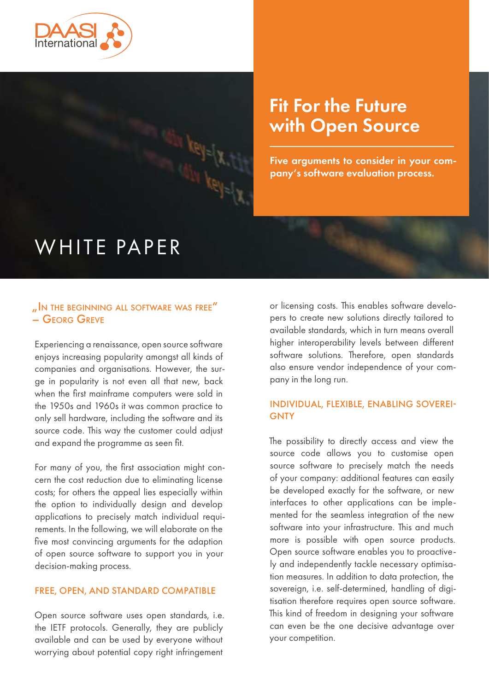

# Fit For the Future with Open Source

Five arguments to consider in your company's software evaluation process.

# WHITE PAPER

# " IN THE BEGINNING ALL SOFTWARE WAS FREE" – Georg Greve

Experiencing a renaissance, open source software enjoys increasing popularity amongst all kinds of companies and organisations. However, the surge in popularity is not even all that new, back when the first mainframe computers were sold in the 1950s and 1960s it was common practice to only sell hardware, including the software and its source code. This way the customer could adjust and expand the programme as seen fit.

For many of you, the first association might concern the cost reduction due to eliminating license costs; for others the appeal lies especially within the option to individually design and develop applications to precisely match individual requirements. In the following, we will elaborate on the five most convincing arguments for the adaption of open source software to support you in your decision-making process.

#### FREE, OPEN, AND STANDARD COMPATIBLE

Open source software uses open standards, i.e. the IETF protocols. Generally, they are publicly available and can be used by everyone without worrying about potential copy right infringement

or licensing costs. This enables software developers to create new solutions directly tailored to available standards, which in turn means overall higher interoperability levels between different software solutions. Therefore, open standards also ensure vendor independence of your company in the long run.

### INDIVIDUAL, FLEXIBLE, ENABLING SOVEREI-**GNTY**

The possibility to directly access and view the source code allows you to customise open source software to precisely match the needs of your company: additional features can easily be developed exactly for the software, or new interfaces to other applications can be implemented for the seamless integration of the new software into your infrastructure. This and much more is possible with open source products. Open source software enables you to proactively and independently tackle necessary optimisation measures. In addition to data protection, the sovereign, i.e. self-determined, handling of digitisation therefore requires open source software. This kind of freedom in designing your software can even be the one decisive advantage over your competition.